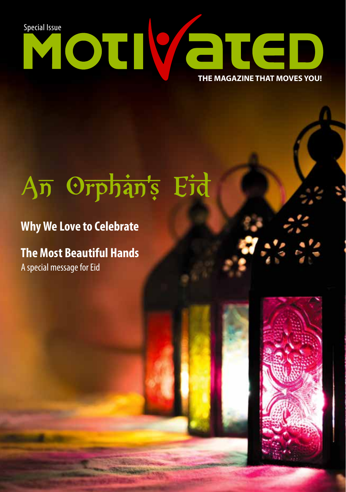

# **An Orphan's Eid**

#### **Why We Love to Celebrate**

### **The Most Beautiful Hands**

A special message for Eid

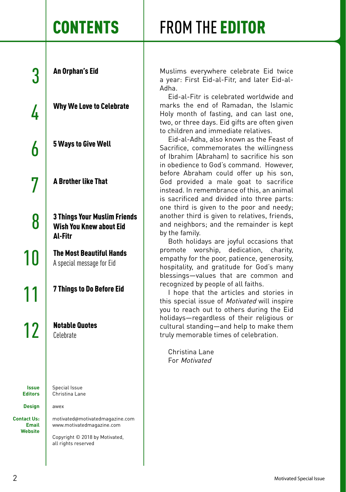### **CONTENTS FROM THE EDITOR**

**Contact Us: Email Website**

A Brother like That The Most Beautiful Hands A special message for Eid 12 | Notable Quotes Special Issue Christina Lane awex motivated@motivatedmagazine.com 5 Ways to Give Well Why We Love to Celebrate  $3<sup>1</sup>$  An Orphan's Eid 3 Things Your Muslim Friends Wish You Knew about Eid Al-Fitr 11 7 Things to Do Before Eid

> Copyright © 2018 by Motivated, all rights reserved

www.motivatedmagazine.com

Muslims everywhere celebrate Eid twice a year: First Eid-al-Fitr, and later Eid-al-Adha.

Eid-al-Fitr is celebrated worldwide and marks the end of Ramadan, the Islamic Holy month of fasting, and can last one, two, or three days. Eid gifts are often given to children and immediate relatives.

Eid-al-Adha, also known as the Feast of Sacrifice, commemorates the willingness of Ibrahim (Abraham) to sacrifice his son in obedience to God's command. However, before Abraham could offer up his son, God provided a male goat to sacrifice instead. In remembrance of this, an animal is sacrificed and divided into three parts: one third is given to the poor and needy; another third is given to relatives, friends, and neighbors; and the remainder is kept by the family.

Both holidays are joyful occasions that promote worship, dedication, charity, empathy for the poor, patience, generosity, hospitality, and gratitude for God's many blessings—values that are common and recognized by people of all faiths.

I hope that the articles and stories in this special issue of Motivated will inspire you to reach out to others during the Eid holidays—regardless of their religious or cultural standing—and help to make them truly memorable times of celebration.

Christina Lane For Motivated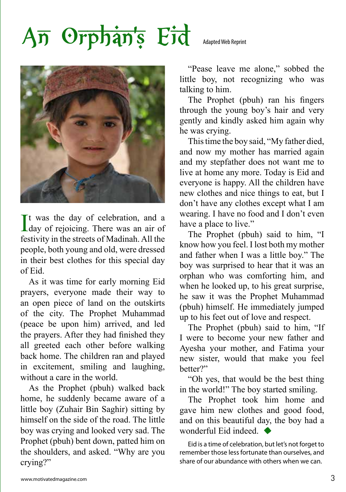# $A\overline{n}$  Orphan's Eid Adapted Web Reprint

It was the day of celebration, and a<br>day of rejoicing. There was an air of day of rejoicing. There was an air of festivity in the streets of Madinah. All the people, both young and old, were dressed in their best clothes for this special day of Eid.

As it was time for early morning Eid prayers, everyone made their way to an open piece of land on the outskirts of the city. The Prophet Muhammad (peace be upon him) arrived, and led the prayers. After they had finished they all greeted each other before walking back home. The children ran and played in excitement, smiling and laughing, without a care in the world.

As the Prophet (pbuh) walked back home, he suddenly became aware of a little boy (Zuhair Bin Saghir) sitting by himself on the side of the road. The little boy was crying and looked very sad. The Prophet (pbuh) bent down, patted him on the shoulders, and asked. "Why are you crying?"

"Pease leave me alone," sobbed the little boy, not recognizing who was talking to him.

The Prophet (pbuh) ran his fingers through the young boy's hair and very gently and kindly asked him again why he was crying.

This time the boy said, "My father died, and now my mother has married again and my stepfather does not want me to live at home any more. Today is Eid and everyone is happy. All the children have new clothes and nice things to eat, but I don't have any clothes except what I am wearing. I have no food and I don't even have a place to live."

The Prophet (pbuh) said to him, "I know how you feel. I lost both my mother and father when I was a little boy." The boy was surprised to hear that it was an orphan who was comforting him, and when he looked up, to his great surprise, he saw it was the Prophet Muhammad (pbuh) himself. He immediately jumped up to his feet out of love and respect.

The Prophet (pbuh) said to him, "If I were to become your new father and Ayesha your mother, and Fatima your new sister, would that make you feel better?"

"Oh yes, that would be the best thing in the world!" The boy started smiling.

The Prophet took him home and gave him new clothes and good food, and on this beautiful day, the boy had a wonderful Eid indeed.

Eid is a time of celebration, but let's not forget to remember those less fortunate than ourselves, and share of our abundance with others when we can.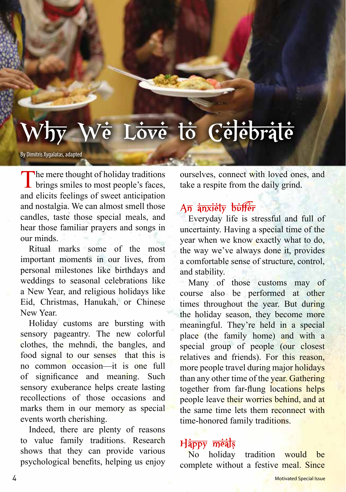# Why We Love to Celebrate

By Dimitris Xygalatas, adapted

The mere thought of holiday traditions<br>brings smiles to most people's faces, and elicits feelings of sweet anticipation and nostalgia. We can almost smell those candles, taste those special meals, and hear those familiar prayers and songs in our minds.

Ritual marks some of the most important moments in our lives, from personal milestones like birthdays and weddings to seasonal celebrations like a New Year, and religious holidays like Eid, Christmas, Hanukah, or Chinese New Year.

Holiday customs are bursting with sensory pageantry. The new colorful clothes, the mehndi, the bangles, and food signal to our senses that this is no common occasion—it is one full of significance and meaning. Such sensory exuberance helps create lasting recollections of those occasions and marks them in our memory as special events worth cherishing.

Indeed, there are plenty of reasons to value family traditions. Research shows that they can provide various psychological benefits, helping us enjoy ourselves, connect with loved ones, and take a respite from the daily grind.

#### **An anxiety buffer**

Everyday life is stressful and full of uncertainty. Having a special time of the year when we know exactly what to do, the way we've always done it, provides a comfortable sense of structure, control, and stability.

Many of those customs may of course also be performed at other times throughout the year. But during the holiday season, they become more meaningful. They're held in a special place (the family home) and with a special group of people (our closest relatives and friends). For this reason, more people travel during major holidays than any other time of the year. Gathering together from far-flung locations helps people leave their worries behind, and at the same time lets them reconnect with time-honored family traditions.

#### **Happy meals**

No holiday tradition would be complete without a festive meal. Since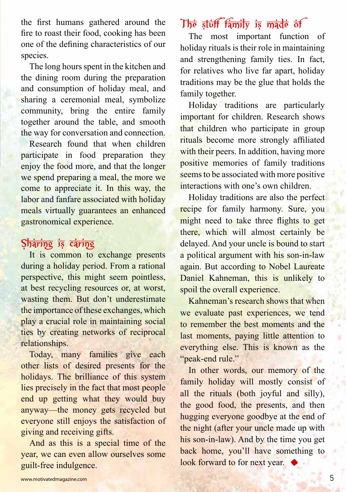the first humans gathered around the fire to roast their food, cooking has been one of the defining characteristics of our species.

The long hours spent in the kitchen and the dining room during the preparation and consumption of holiday meal, and sharing a ceremonial meal, symbolize community, bring the entire family together around the table, and smooth the way for conversation and connection.

Research found that when children participate in food preparation they enjoy the food more, and that the longer we spend preparing a meal, the more we come to appreciate it. In this way, the labor and fanfare associated with holiday meals virtually guarantees an enhanced gastronomical experience.

#### **Sharing is caring**

It is common to exchange presents during a holiday period. From a rational perspective, this might seem pointless, at best recycling resources or, at worst, wasting them. But don't underestimate the importance of these exchanges, which play a crucial role in maintaining social ties by creating networks of reciprocal relationships.

Today, many families give each other lists of desired presents for the holidays. The brilliance of this system lies precisely in the fact that most people end up getting what they would buy anyway—the money gets recycled but everyone still enjoys the satisfaction of giving and receiving gifts.

And as this is a special time of the year, we can even allow ourselves some guilt-free indulgence.

#### The stuff family is made of

The most important function of holiday rituals is their role in maintaining and strengthening family ties. In fact, for relatives who live far apart, holiday traditions may be the glue that holds the family together.

Holiday traditions are particularly important for children. Research shows that children who participate in group rituals become more strongly affiliated with their peers. In addition, having more positive memories of family traditions seems to be associated with more positive interactions with one's own children.

Holiday traditions are also the perfect recipe for family harmony. Sure, you might need to take three flights to get there, which will almost certainly be delayed. And your uncle is bound to start a political argument with his son-in-law again. But according to Nobel Laureate Daniel Kahneman, this is unlikely to spoil the overall experience.

Kahneman's research shows that when we evaluate past experiences, we tend to remember the best moments and the last moments, paying little attention to everything else. This is known as the "peak-end rule."

In other words, our memory of the family holiday will mostly consist of all the rituals (both joyful and silly), the good food, the presents, and then hugging everyone goodbye at the end of the night (after your uncle made up with his son-in-law). And by the time you get back home, you'll have something to look forward to for next year.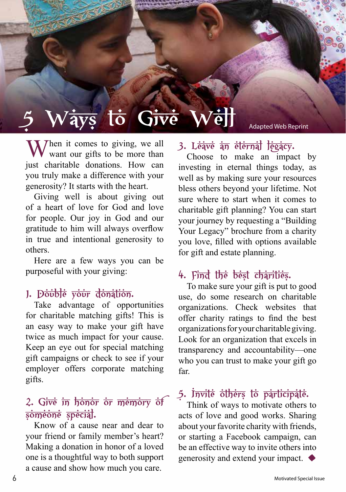### $W\dot{\overline{\textbf{a}}\textbf{y}}$   $\overline{\textbf{t}}$   $\overline{\textbf{b}}$   $\overline{\textbf{G}}$   $\dot{\overline{\textbf{v}}\textbf{e}}$   $\overline{\textbf{W}}$  $\dot{\overline{\textbf{e}}}$   $\overline{\textbf{b}}$   $\overline{\textbf{b}}$   $\overline{\textbf{b}}$   $\overline{\textbf{b}}$   $\overline{\textbf{c}}$   $\overline{\textbf{b}}$   $\overline{\textbf{c}}$   $\overline{\textbf{b}}$   $\overline{\textbf{c}}$   $\overline{\textbf{b}}$

When it comes to giving, we all want our gifts to be more than just charitable donations. How can you truly make a difference with your generosity? It starts with the heart.

Giving well is about giving out of a heart of love for God and love for people. Our joy in God and our gratitude to him will always overflow in true and intentional generosity to others.

Here are a few ways you can be purposeful with your giving:

#### 1. Double your donation.

Take advantage of opportunities for charitable matching gifts! This is an easy way to make your gift have twice as much impact for your cause. Keep an eye out for special matching gift campaigns or check to see if your employer offers corporate matching gifts.

#### 2. Give in honor or memory of **someone special.**

Know of a cause near and dear to your friend or family member's heart? Making a donation in honor of a loved one is a thoughtful way to both support a cause and show how much you care.

**3. Leave an eternal legacy.**

Choose to make an impact by investing in eternal things today, as well as by making sure your resources bless others beyond your lifetime. Not sure where to start when it comes to charitable gift planning? You can start your journey by requesting a "Building Your Legacy" brochure from a charity you love, filled with options available for gift and estate planning.

#### **4. Find the best charities.**

To make sure your gift is put to good use, do some research on charitable organizations. Check websites that offer charity ratings to find the best organizations for your charitable giving. Look for an organization that excels in transparency and accountability—one who you can trust to make your gift go far.

#### **5. Invite others to participate.**

Think of ways to motivate others to acts of love and good works. Sharing about your favorite charity with friends, or starting a Facebook campaign, can be an effective way to invite others into generosity and extend your impact.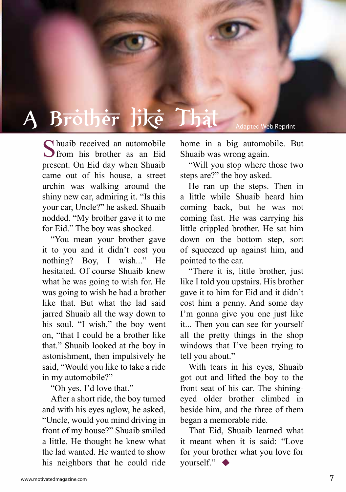

Shuaib received an automobile<br>
Sim his brother as an Eid present. On Eid day when Shuaib came out of his house, a street urchin was walking around the shiny new car, admiring it. "Is this your car, Uncle?" he asked. Shuaib nodded. "My brother gave it to me for Eid." The boy was shocked.

"You mean your brother gave it to you and it didn't cost you nothing? Boy, I wish..." He hesitated. Of course Shuaib knew what he was going to wish for. He was going to wish he had a brother like that. But what the lad said. jarred Shuaib all the way down to his soul. "I wish," the boy went on, "that I could be a brother like that." Shuaib looked at the boy in astonishment, then impulsively he said, "Would you like to take a ride in my automobile?"

"Oh yes, I'd love that."

After a short ride, the boy turned and with his eyes aglow, he asked, "Uncle, would you mind driving in front of my house?" Shuaib smiled a little. He thought he knew what the lad wanted. He wanted to show his neighbors that he could ride home in a big automobile. But Shuaib was wrong again.

"Will you stop where those two steps are?" the boy asked.

He ran up the steps. Then in a little while Shuaib heard him coming back, but he was not coming fast. He was carrying his little crippled brother. He sat him down on the bottom step, sort of squeezed up against him, and pointed to the car.

"There it is, little brother, just like I told you upstairs. His brother gave it to him for Eid and it didn't cost him a penny. And some day I'm gonna give you one just like it... Then you can see for yourself all the pretty things in the shop windows that I've been trying to tell you about."

With tears in his eyes, Shuaib got out and lifted the boy to the front seat of his car. The shiningeyed older brother climbed in beside him, and the three of them began a memorable ride.

That Eid, Shuaib learned what it meant when it is said: "Love for your brother what you love for yourself."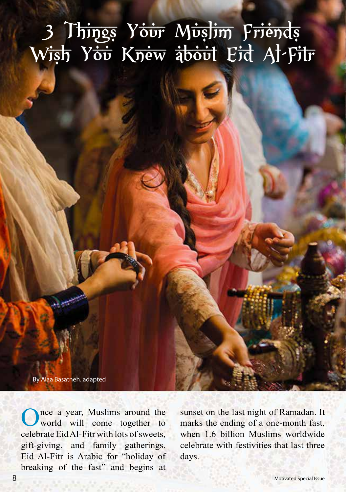## **3 Things Your Muslim Friends**  Wish Y<del>ou</del> Knew about Eid Al-Fitr

By Alaa Basatneh. adapted

Once a year, Muslims around the world will come together to celebrate Eid Al-Fitr with lots of sweets, gift-giving, and family gatherings. Eid Al-Fitr is Arabic for "holiday of breaking of the fast" and begins at

sunset on the last night of Ramadan. It marks the ending of a one-month fast, when 1.6 billion Muslims worldwide celebrate with festivities that last three days.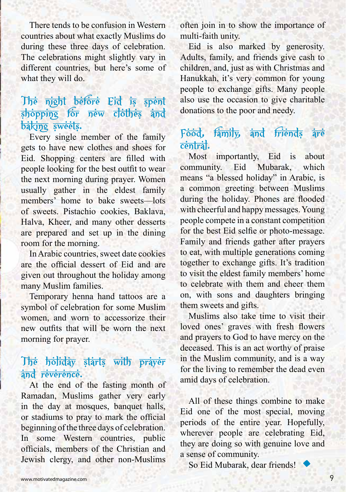There tends to be confusion in Western countries about what exactly Muslims do during these three days of celebration. The celebrations might slightly vary in different countries, but here's some of what they will do.

#### **The night before Eid is spent**  shopping for new clothes and **baking sweets.**

Every single member of the family gets to have new clothes and shoes for Eid. Shopping centers are filled with people looking for the best outfit to wear the next morning during prayer. Women usually gather in the eldest family members' home to bake sweets—lots of sweets. Pistachio cookies, Baklava, Halva, Kheer, and many other desserts are prepared and set up in the dining room for the morning.

In Arabic countries, sweet date cookies are the official dessert of Eid and are given out throughout the holiday among many Muslim families.

Temporary henna hand tattoos are a symbol of celebration for some Muslim women, and worn to accessorize their new outfits that will be worn the next morning for prayer.

#### **The holiday starts with prayer and reverence.**

At the end of the fasting month of Ramadan, Muslims gather very early in the day at mosques, banquet halls, or stadiums to pray to mark the official beginning of the three days of celebration. In some Western countries, public officials, members of the Christian and Jewish clergy, and other non-Muslims often join in to show the importance of multi-faith unity.

Eid is also marked by generosity. Adults, family, and friends give cash to children, and, just as with Christmas and Hanukkah, it's very common for young people to exchange gifts. Many people also use the occasion to give charitable donations to the poor and needy.

#### **Food, family, and friends are central.**

Most importantly, Eid is about community. Eid Mubarak, which means "a blessed holiday" in Arabic, is a common greeting between Muslims during the holiday. Phones are flooded with cheerful and happy messages. Young people compete in a constant competition for the best Eid selfie or photo-message. Family and friends gather after prayers to eat, with multiple generations coming together to exchange gifts. It's tradition to visit the eldest family members' home to celebrate with them and cheer them on, with sons and daughters bringing them sweets and gifts.

Muslims also take time to visit their loved ones' graves with fresh flowers and prayers to God to have mercy on the deceased. This is an act worthy of praise in the Muslim community, and is a way for the living to remember the dead even amid days of celebration.

All of these things combine to make Eid one of the most special, moving periods of the entire year. Hopefully, wherever people are celebrating Eid, they are doing so with genuine love and a sense of community.

So Eid Mubarak, dear friends!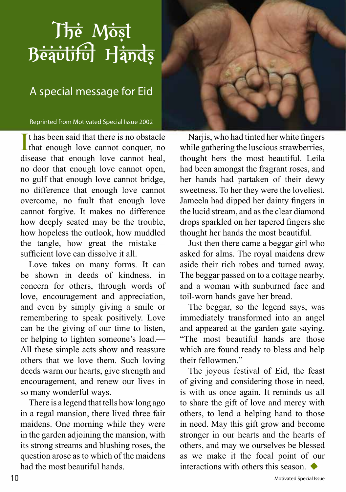### The Most Beauliful Hands

### A special message for Eid

#### Reprinted from Motivated Special Issue 2002

If that been said that there is no obstacle<br>that enough love cannot conquer, no  $\blacksquare$  t has been said that there is no obstacle disease that enough love cannot heal, no door that enough love cannot open, no gulf that enough love cannot bridge, no difference that enough love cannot overcome, no fault that enough love cannot forgive. It makes no difference how deeply seated may be the trouble, how hopeless the outlook, how muddled the tangle, how great the mistake sufficient love can dissolve it all.

Love takes on many forms. It can be shown in deeds of kindness, in concern for others, through words of love, encouragement and appreciation, and even by simply giving a smile or remembering to speak positively. Love can be the giving of our time to listen, or helping to lighten someone's load.— All these simple acts show and reassure others that we love them. Such loving deeds warm our hearts, give strength and encouragement, and renew our lives in so many wonderful ways.

There is a legend that tells how long ago in a regal mansion, there lived three fair maidens. One morning while they were in the garden adjoining the mansion, with its strong streams and blushing roses, the question arose as to which of the maidens had the most beautiful hands.



Narjis, who had tinted her white fingers while gathering the luscious strawberries, thought hers the most beautiful. Leila had been amongst the fragrant roses, and her hands had partaken of their dewy sweetness. To her they were the loveliest. Jameela had dipped her dainty fingers in the lucid stream, and as the clear diamond drops sparkled on her tapered fingers she thought her hands the most beautiful.

Just then there came a beggar girl who asked for alms. The royal maidens drew aside their rich robes and turned away. The beggar passed on to a cottage nearby, and a woman with sunburned face and toil-worn hands gave her bread.

The beggar, so the legend says, was immediately transformed into an angel and appeared at the garden gate saying, "The most beautiful hands are those which are found ready to bless and help their fellowmen."

The joyous festival of Eid, the feast of giving and considering those in need, is with us once again. It reminds us all to share the gift of love and mercy with others, to lend a helping hand to those in need. May this gift grow and become stronger in our hearts and the hearts of others, and may we ourselves be blessed as we make it the focal point of our interactions with others this season.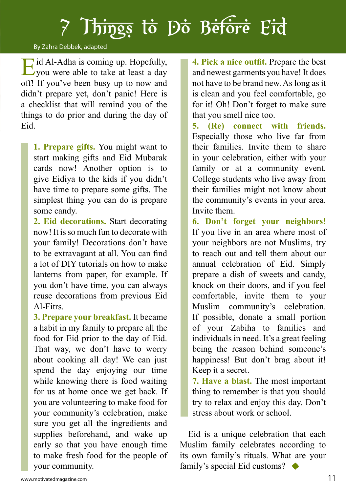# **7 Things to Do Before Eid**

#### By Zahra Debbek, adapted

E<sup>id Al-Adha is coming up. Hopefully,</sup><br>
you were able to take at least a day off! If you've been busy up to now and didn't prepare yet, don't panic! Here is a checklist that will remind you of the things to do prior and during the day of Eid.

**1. Prepare gifts.** You might want to start making gifts and Eid Mubarak cards now! Another option is to give Eidiya to the kids if you didn't have time to prepare some gifts. The simplest thing you can do is prepare some candy.

**2. Eid decorations.** Start decorating now! It is so much fun to decorate with your family! Decorations don't have to be extravagant at all. You can find a lot of DIY tutorials on how to make lanterns from paper, for example. If you don't have time, you can always reuse decorations from previous Eid Al-Fitrs.

**3. Prepare your breakfast.** It became a habit in my family to prepare all the food for Eid prior to the day of Eid. That way, we don't have to worry about cooking all day! We can just spend the day enjoying our time while knowing there is food waiting for us at home once we get back. If you are volunteering to make food for your community's celebration, make sure you get all the ingredients and supplies beforehand, and wake up early so that you have enough time to make fresh food for the people of your community.

**4. Pick a nice outfit.** Prepare the best and newest garments you have! It does not have to be brand new. As long as it is clean and you feel comfortable, go for it! Oh! Don't forget to make sure that you smell nice too.

**5. (Re) connect with friends.**  Especially those who live far from their families. Invite them to share in your celebration, either with your family or at a community event. College students who live away from their families might not know about the community's events in your area. Invite them.

**6. Don't forget your neighbors!** If you live in an area where most of your neighbors are not Muslims, try to reach out and tell them about our annual celebration of Eid. Simply prepare a dish of sweets and candy, knock on their doors, and if you feel comfortable, invite them to your Muslim community's celebration. If possible, donate a small portion of your Zabiha to families and individuals in need. It's a great feeling being the reason behind someone's happiness! But don't brag about it! Keep it a secret.

**7. Have a blast.** The most important thing to remember is that you should try to relax and enjoy this day. Don't stress about work or school.

Eid is a unique celebration that each Muslim family celebrates according to its own family's rituals. What are your family's special Eid customs?  $\triangleleft$